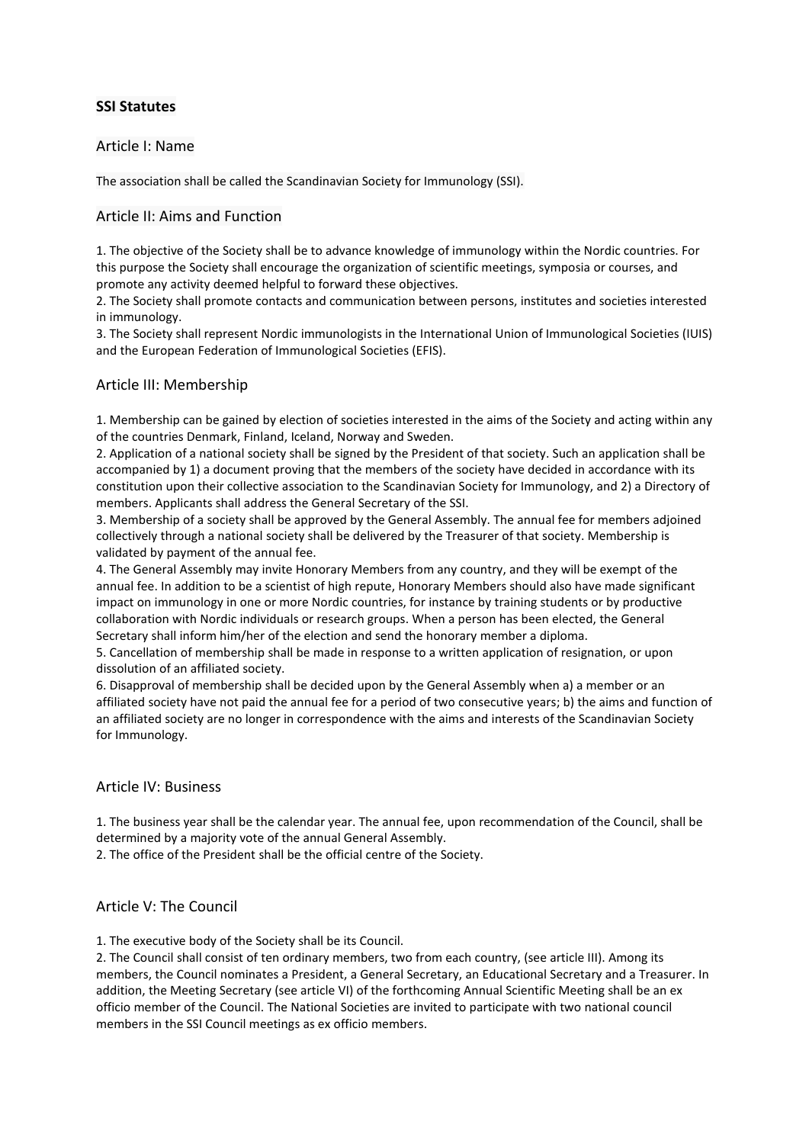# **SSI Statutes**

## Article I: Name

The association shall be called the Scandinavian Society for Immunology (SSI).

# Article II: Aims and Function

1. The objective of the Society shall be to advance knowledge of immunology within the Nordic countries. For this purpose the Society shall encourage the organization of scientific meetings, symposia or courses, and promote any activity deemed helpful to forward these objectives.

2. The Society shall promote contacts and communication between persons, institutes and societies interested in immunology.

3. The Society shall represent Nordic immunologists in the International Union of Immunological Societies (IUIS) and the European Federation of Immunological Societies (EFIS).

# Article III: Membership

1. Membership can be gained by election of societies interested in the aims of the Society and acting within any of the countries Denmark, Finland, Iceland, Norway and Sweden.

2. Application of a national society shall be signed by the President of that society. Such an application shall be accompanied by 1) a document proving that the members of the society have decided in accordance with its constitution upon their collective association to the Scandinavian Society for Immunology, and 2) a Directory of members. Applicants shall address the General Secretary of the SSI.

3. Membership of a society shall be approved by the General Assembly. The annual fee for members adjoined collectively through a national society shall be delivered by the Treasurer of that society. Membership is validated by payment of the annual fee.

4. The General Assembly may invite Honorary Members from any country, and they will be exempt of the annual fee. In addition to be a scientist of high repute, Honorary Members should also have made significant impact on immunology in one or more Nordic countries, for instance by training students or by productive collaboration with Nordic individuals or research groups. When a person has been elected, the General Secretary shall inform him/her of the election and send the honorary member a diploma.

5. Cancellation of membership shall be made in response to a written application of resignation, or upon dissolution of an affiliated society.

6. Disapproval of membership shall be decided upon by the General Assembly when a) a member or an affiliated society have not paid the annual fee for a period of two consecutive years; b) the aims and function of an affiliated society are no longer in correspondence with the aims and interests of the Scandinavian Society for Immunology.

## Article IV: Business

1. The business year shall be the calendar year. The annual fee, upon recommendation of the Council, shall be determined by a majority vote of the annual General Assembly.

2. The office of the President shall be the official centre of the Society.

## Article V: The Council

1. The executive body of the Society shall be its Council.

2. The Council shall consist of ten ordinary members, two from each country, (see article III). Among its members, the Council nominates a President, a General Secretary, an Educational Secretary and a Treasurer. In addition, the Meeting Secretary (see article VI) of the forthcoming Annual Scientific Meeting shall be an ex officio member of the Council. The National Societies are invited to participate with two national council members in the SSI Council meetings as ex officio members.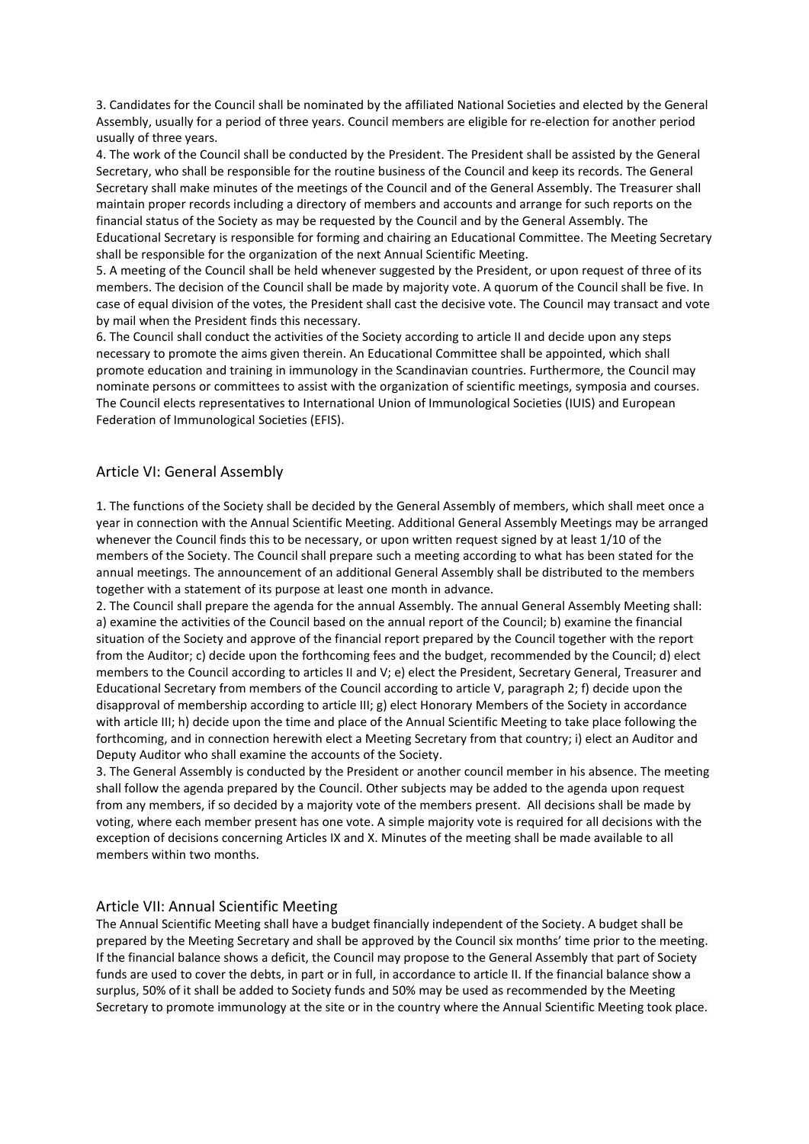3. Candidates for the Council shall be nominated by the affiliated National Societies and elected by the General Assembly, usually for a period of three years. Council members are eligible for re-election for another period usually of three years.

4. The work of the Council shall be conducted by the President. The President shall be assisted by the General Secretary, who shall be responsible for the routine business of the Council and keep its records. The General Secretary shall make minutes of the meetings of the Council and of the General Assembly. The Treasurer shall maintain proper records including a directory of members and accounts and arrange for such reports on the financial status of the Society as may be requested by the Council and by the General Assembly. The Educational Secretary is responsible for forming and chairing an Educational Committee. The Meeting Secretary shall be responsible for the organization of the next Annual Scientific Meeting.

5. A meeting of the Council shall be held whenever suggested by the President, or upon request of three of its members. The decision of the Council shall be made by majority vote. A quorum of the Council shall be five. In case of equal division of the votes, the President shall cast the decisive vote. The Council may transact and vote by mail when the President finds this necessary.

6. The Council shall conduct the activities of the Society according to article II and decide upon any steps necessary to promote the aims given therein. An Educational Committee shall be appointed, which shall promote education and training in immunology in the Scandinavian countries. Furthermore, the Council may nominate persons or committees to assist with the organization of scientific meetings, symposia and courses. The Council elects representatives to International Union of Immunological Societies (IUIS) and European Federation of Immunological Societies (EFIS).

## Article VI: General Assembly

1. The functions of the Society shall be decided by the General Assembly of members, which shall meet once a year in connection with the Annual Scientific Meeting. Additional General Assembly Meetings may be arranged whenever the Council finds this to be necessary, or upon written request signed by at least 1/10 of the members of the Society. The Council shall prepare such a meeting according to what has been stated for the annual meetings. The announcement of an additional General Assembly shall be distributed to the members together with a statement of its purpose at least one month in advance.

2. The Council shall prepare the agenda for the annual Assembly. The annual General Assembly Meeting shall: a) examine the activities of the Council based on the annual report of the Council; b) examine the financial situation of the Society and approve of the financial report prepared by the Council together with the report from the Auditor; c) decide upon the forthcoming fees and the budget, recommended by the Council; d) elect members to the Council according to articles II and V; e) elect the President, Secretary General, Treasurer and Educational Secretary from members of the Council according to article V, paragraph 2; f) decide upon the disapproval of membership according to article III; g) elect Honorary Members of the Society in accordance with article III; h) decide upon the time and place of the Annual Scientific Meeting to take place following the forthcoming, and in connection herewith elect a Meeting Secretary from that country; i) elect an Auditor and Deputy Auditor who shall examine the accounts of the Society.

3. The General Assembly is conducted by the President or another council member in his absence. The meeting shall follow the agenda prepared by the Council. Other subjects may be added to the agenda upon request from any members, if so decided by a majority vote of the members present. All decisions shall be made by voting, where each member present has one vote. A simple majority vote is required for all decisions with the exception of decisions concerning Articles IX and X. Minutes of the meeting shall be made available to all members within two months.

#### Article VII: Annual Scientific Meeting

The Annual Scientific Meeting shall have a budget financially independent of the Society. A budget shall be prepared by the Meeting Secretary and shall be approved by the Council six months' time prior to the meeting. If the financial balance shows a deficit, the Council may propose to the General Assembly that part of Society funds are used to cover the debts, in part or in full, in accordance to article II. If the financial balance show a surplus, 50% of it shall be added to Society funds and 50% may be used as recommended by the Meeting Secretary to promote immunology at the site or in the country where the Annual Scientific Meeting took place.